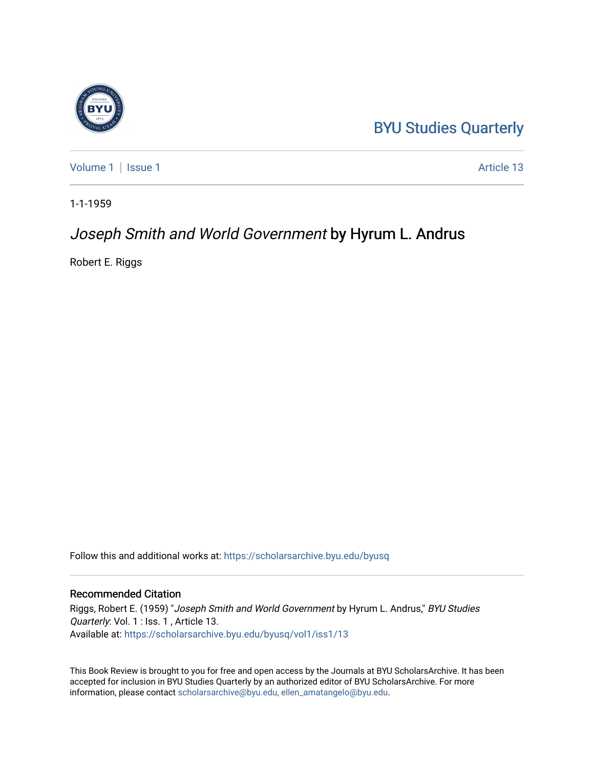## [BYU Studies Quarterly](https://scholarsarchive.byu.edu/byusq)

[Volume 1](https://scholarsarchive.byu.edu/byusq/vol1) | [Issue 1](https://scholarsarchive.byu.edu/byusq/vol1/iss1) Article 13

1-1-1959

### Joseph Smith and World Government by Hyrum L. Andrus

Robert E. Riggs

Follow this and additional works at: [https://scholarsarchive.byu.edu/byusq](https://scholarsarchive.byu.edu/byusq?utm_source=scholarsarchive.byu.edu%2Fbyusq%2Fvol1%2Fiss1%2F13&utm_medium=PDF&utm_campaign=PDFCoverPages) 

#### Recommended Citation

Riggs, Robert E. (1959) "Joseph Smith and World Government by Hyrum L. Andrus," BYU Studies Quarterly: Vol. 1 : Iss. 1 , Article 13. Available at: [https://scholarsarchive.byu.edu/byusq/vol1/iss1/13](https://scholarsarchive.byu.edu/byusq/vol1/iss1/13?utm_source=scholarsarchive.byu.edu%2Fbyusq%2Fvol1%2Fiss1%2F13&utm_medium=PDF&utm_campaign=PDFCoverPages)

This Book Review is brought to you for free and open access by the Journals at BYU ScholarsArchive. It has been accepted for inclusion in BYU Studies Quarterly by an authorized editor of BYU ScholarsArchive. For more information, please contact [scholarsarchive@byu.edu, ellen\\_amatangelo@byu.edu.](mailto:scholarsarchive@byu.edu,%20ellen_amatangelo@byu.edu)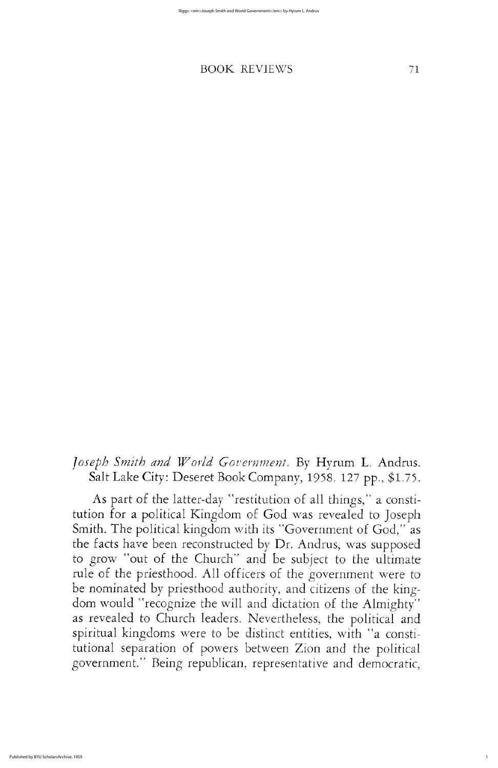1

# BOOK REVIEWS 71

Joseph Smith and World Government. By Hyrum L. Andrus. Salt Lake City: Deseret Book Company, 1958. 127 pp., \$1.75.

As part of the latter-day "restitution of all things," a constitution for a political Kingdom of God was revealed to Joseph Smith. The political kingdom with its "Government of God," as the facts have been reconstructed by Dr. Andrus, was supposed to grow "out of the Church" and be subject to the ultimate rule of the priesthood. All officers of the government were to be nominated by priesthood authority, and citizens of the kingdom would "recognize the will and dictation of the Almighty" as revealed to Church leaders. Nevertheless, the political and spiritual kingdoms were to be distinct entities, with "a constitutional separation of powers between Zion and the political government." Being republican, representative and democratic,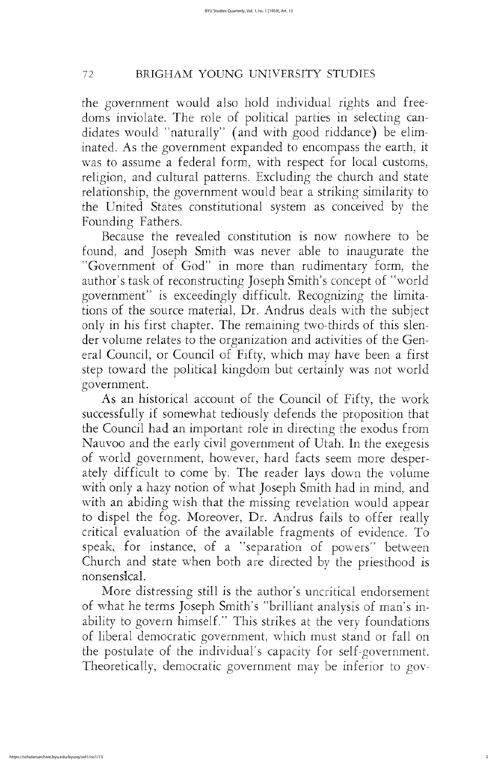# <sup>72</sup> BRIGHAM YOUNG university STUDIES

the government would also hold individual rights and freedoms inviolate. The role of political parties in selecting candidates would "naturally" (and with good riddance) be eliminated. As the government expanded to encompass the earth, it was to assume a federal form, with respect for local customs, religion, and cultural patterns. Excluding the church and state relationship, the government would bear a striking similarity to the United States constitutional system as conceived by the Founding Fathers.

because the revealed constitution is now nowhere to be found, and Joseph Smith was never able to inaugurate the "Government of God" in more than rudimentary form, the author's task of reconstructing Joseph Smith's concept of "world" government" is exceedingly difficult. Recognizing the limitations of the source material, Dr. Andrus deals with the subject only in his first chapter. The remaining two-thirds of this slender volume relates to the organization and activities of the General Council, or Council of Fifty, which may have been a first step toward the political kingdom but certainly was not world government As an historical account of the Council of Fifty, the work successfully if somewhat tediously defends the proposition that the council had an important role in directing the exodus from Nauvoo and the early civil government of Utah. In the exegesis of world government, however, hard facts seem more desperately difficult to come by. The reader lays down the volume with only a hazy notion of what Joseph Smith had in mind, and with an abiding wish that the missing revelation would appear to dispel the fog. Moreover, Dr. Andrus fails to offer really critical evaluation of the available fragments of evidence. To speak, for instance, of a "separation of powers" between church and state when both are directed by the priesthood is nonsensical More distressing still is the author's uncritical endorsement of what he terms Joseph Smith's "brilliant analysis of man's inability to govern himself." This strikes at the very foundations of liberal democratic government, which must stand or fall on the postulate of the individual's capacity for self-government. Theoretically, democratic government may be inferior to gov-